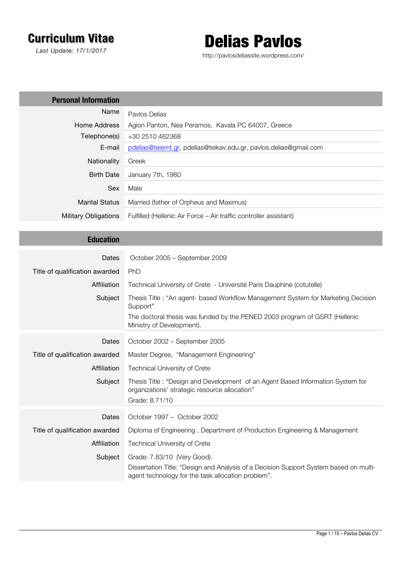# **Curriculum Vitae**

*Last Update: 17/1/2017*



http://pavlosdeliassite.wordpress.com/

| <b>Personal Information</b>    |                                                                                                                                                   |
|--------------------------------|---------------------------------------------------------------------------------------------------------------------------------------------------|
| Name                           | Pavlos Delias                                                                                                                                     |
| Home Address                   | Agion Panton, Nea Peramos, Kavala PC 64007, Greece                                                                                                |
| Telephone(s)                   | +30 2510 462368                                                                                                                                   |
| E-mail                         | pdelias@teiemt.gr, pdelias@teikav.edu.gr, pavlos.delias@gmail.com                                                                                 |
| Nationality                    | Greek                                                                                                                                             |
| <b>Birth Date</b>              | January 7th, 1980                                                                                                                                 |
| Sex                            | Male                                                                                                                                              |
| <b>Marital Status</b>          | Married (father of Orpheus and Maximus)                                                                                                           |
| <b>Military Obligations</b>    | Fulfilled (Hellenic Air Force - Air traffic controller assistant)                                                                                 |
|                                |                                                                                                                                                   |
| <b>Education</b>               |                                                                                                                                                   |
| Dates                          | October 2005 - September 2009                                                                                                                     |
| Title of qualification awarded | PhD                                                                                                                                               |
| Affiliation                    | Technical University of Crete - Université Paris Dauphine (cotutelle)                                                                             |
| Subject                        | Thesis Title: "An agent- based Workflow Management System for Marketing Decision<br>Support"                                                      |
|                                | The doctoral thesis was funded by the PENED 2003 program of GSRT (Hellenic<br>Ministry of Development).                                           |
| Dates                          | October 2002 - September 2005                                                                                                                     |
| Title of qualification awarded | Master Degree, "Management Engineering"                                                                                                           |
| Affiliation                    | <b>Technical University of Crete</b>                                                                                                              |
| Subject                        | Thesis Title: "Design and Development of an Agent Based Information System for<br>organizations' strategic resource allocation"<br>Grade: 8.71/10 |
| Dates                          | October 1997 - October 2002                                                                                                                       |
| Title of qualification awarded | Diploma of Engineering, Department of Production Engineering & Management                                                                         |
| Affiliation                    | <b>Technical University of Crete</b>                                                                                                              |
| Subject                        | Grade: 7.83/10 (Very Good).                                                                                                                       |
|                                | Dissertation Title: "Design and Analysis of a Decision Support System based on multi-                                                             |
|                                | agent technology for the task allocation problem".                                                                                                |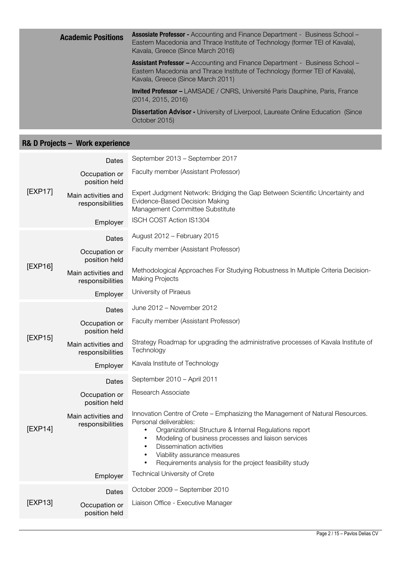| <b>Academic Positions</b> | <b>Assosiate Professor - Accounting and Finance Department - Business School -</b><br>Eastern Macedonia and Thrace Institute of Technology (former TEI of Kavala),<br>Kavala, Greece (Since March 2016) |
|---------------------------|---------------------------------------------------------------------------------------------------------------------------------------------------------------------------------------------------------|
|                           | <b>Assistant Professor - Accounting and Finance Department - Business School -</b><br>Eastern Macedonia and Thrace Institute of Technology (former TEI of Kavala),<br>Kavala, Greece (Since March 2011) |
|                           | <b>Invited Professor –</b> LAMSADE / CNRS, Université Paris Dauphine, Paris, France<br>(2014, 2015, 2016)                                                                                               |
|                           | <b>Dissertation Advisor - University of Liverpool, Laureate Online Education (Since)</b><br>October 2015)                                                                                               |

## **R& D Projects – Work experience**

|         | Dates                                   | September 2013 - September 2017                                                                                                                                                                                                                                                                                                                              |
|---------|-----------------------------------------|--------------------------------------------------------------------------------------------------------------------------------------------------------------------------------------------------------------------------------------------------------------------------------------------------------------------------------------------------------------|
| [EXP17] | Occupation or<br>position held          | Faculty member (Assistant Professor)                                                                                                                                                                                                                                                                                                                         |
|         | Main activities and<br>responsibilities | Expert Judgment Network: Bridging the Gap Between Scientific Uncertainty and<br>Evidence-Based Decision Making<br>Management Committee Substitute                                                                                                                                                                                                            |
|         | Employer                                | ISCH COST Action IS1304                                                                                                                                                                                                                                                                                                                                      |
|         | <b>Dates</b>                            | August 2012 - February 2015                                                                                                                                                                                                                                                                                                                                  |
|         | Occupation or<br>position held          | Faculty member (Assistant Professor)                                                                                                                                                                                                                                                                                                                         |
| [EXP16] | Main activities and<br>responsibilities | Methodological Approaches For Studying Robustness In Multiple Criteria Decision-<br><b>Making Projects</b>                                                                                                                                                                                                                                                   |
|         | Employer                                | University of Piraeus                                                                                                                                                                                                                                                                                                                                        |
|         | <b>Dates</b>                            | June 2012 - November 2012                                                                                                                                                                                                                                                                                                                                    |
|         | Occupation or<br>position held          | Faculty member (Assistant Professor)                                                                                                                                                                                                                                                                                                                         |
| [EXP15] | Main activities and<br>responsibilities | Strategy Roadmap for upgrading the administrative processes of Kavala Institute of<br>Technology                                                                                                                                                                                                                                                             |
|         | Employer                                | Kavala Institute of Technology                                                                                                                                                                                                                                                                                                                               |
|         | Dates                                   | September 2010 - April 2011                                                                                                                                                                                                                                                                                                                                  |
|         | Occupation or<br>position held          | Research Associate                                                                                                                                                                                                                                                                                                                                           |
| [EXP14] | Main activities and<br>responsibilities | Innovation Centre of Crete - Emphasizing the Management of Natural Resources.<br>Personal deliverables:<br>Organizational Structure & Internal Regulations report<br>Modeling of business processes and liaison services<br>Dissemination activities<br>Viability assurance measures<br>Requirements analysis for the project feasibility study<br>$\bullet$ |
|         | Employer                                | Technical University of Crete                                                                                                                                                                                                                                                                                                                                |
|         | Dates                                   | October 2009 - September 2010                                                                                                                                                                                                                                                                                                                                |
| [EXP13] | Occupation or<br>position held          | Liaison Office - Executive Manager                                                                                                                                                                                                                                                                                                                           |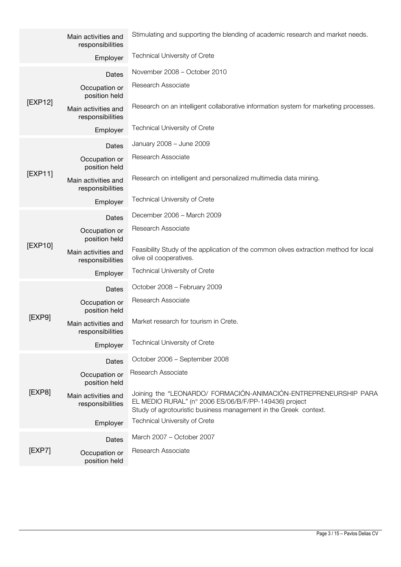|         | Main activities and<br>responsibilities | Stimulating and supporting the blending of academic research and market needs.                                                                                                                |
|---------|-----------------------------------------|-----------------------------------------------------------------------------------------------------------------------------------------------------------------------------------------------|
|         | Employer                                | <b>Technical University of Crete</b>                                                                                                                                                          |
|         | Dates                                   | November 2008 - October 2010                                                                                                                                                                  |
| [EXP12] | Occupation or<br>position held          | Research Associate                                                                                                                                                                            |
|         | Main activities and<br>responsibilities | Research on an intelligent collaborative information system for marketing processes.                                                                                                          |
|         | Employer                                | <b>Technical University of Crete</b>                                                                                                                                                          |
|         | Dates                                   | January 2008 - June 2009                                                                                                                                                                      |
|         | Occupation or<br>position held          | <b>Research Associate</b>                                                                                                                                                                     |
| [EXP11] | Main activities and<br>responsibilities | Research on intelligent and personalized multimedia data mining.                                                                                                                              |
|         | Employer                                | <b>Technical University of Crete</b>                                                                                                                                                          |
|         | Dates                                   | December 2006 - March 2009                                                                                                                                                                    |
|         | Occupation or<br>position held          | <b>Research Associate</b>                                                                                                                                                                     |
| [EXP10] | Main activities and<br>responsibilities | Feasibility Study of the application of the common olives extraction method for local<br>olive oil cooperatives.                                                                              |
|         | Employer                                | <b>Technical University of Crete</b>                                                                                                                                                          |
|         | Dates                                   | October 2008 - February 2009                                                                                                                                                                  |
|         | Occupation or<br>position held          | Research Associate                                                                                                                                                                            |
| [EXP9]  | Main activities and<br>responsibilities | Market research for tourism in Crete.                                                                                                                                                         |
|         | Employer                                | <b>Technical University of Crete</b>                                                                                                                                                          |
|         | Dates                                   | October 2006 - September 2008                                                                                                                                                                 |
| [EXP8]  | Occupation or<br>position held          | Research Associate                                                                                                                                                                            |
|         | Main activities and<br>responsibilities | Joining the "LEONARDO/ FORMACIÓN-ANIMACIÓN-ENTREPRENEURSHIP PARA<br>EL MEDIO RURAL" (nº 2006 ES/06/B/F/PP-149436) project<br>Study of agrotouristic business management in the Greek context. |
|         | Employer                                | Technical University of Crete                                                                                                                                                                 |
|         | Dates                                   | March 2007 - October 2007                                                                                                                                                                     |
| [EXP7]  | Occupation or<br>position held          | Research Associate                                                                                                                                                                            |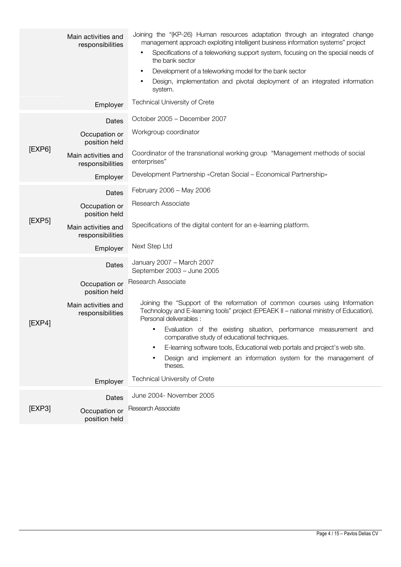|        | Main activities and<br>responsibilities<br>Employer | Joining the "(KP-26) Human resources adaptation through an integrated change<br>management approach exploiting intelligent business information systems" project<br>Specifications of a teleworking support system, focusing on the special needs of<br>$\bullet$<br>the bank sector<br>Development of a teleworking model for the bank sector<br>$\bullet$<br>Design, implementation and pivotal deployment of an integrated information<br>system.<br><b>Technical University of Crete</b> |
|--------|-----------------------------------------------------|----------------------------------------------------------------------------------------------------------------------------------------------------------------------------------------------------------------------------------------------------------------------------------------------------------------------------------------------------------------------------------------------------------------------------------------------------------------------------------------------|
|        |                                                     | October 2005 - December 2007                                                                                                                                                                                                                                                                                                                                                                                                                                                                 |
|        | Dates<br>Occupation or<br>position held             | Workgroup coordinator                                                                                                                                                                                                                                                                                                                                                                                                                                                                        |
| [EXP6] | Main activities and<br>responsibilities             | Coordinator of the transnational working group "Management methods of social<br>enterprises"                                                                                                                                                                                                                                                                                                                                                                                                 |
|        | Employer                                            | Development Partnership «Cretan Social – Economical Partnership»                                                                                                                                                                                                                                                                                                                                                                                                                             |
|        | Dates                                               | February 2006 - May 2006                                                                                                                                                                                                                                                                                                                                                                                                                                                                     |
|        | Occupation or<br>position held                      | Research Associate                                                                                                                                                                                                                                                                                                                                                                                                                                                                           |
| [EXP5] | Main activities and<br>responsibilities             | Specifications of the digital content for an e-learning platform.                                                                                                                                                                                                                                                                                                                                                                                                                            |
|        | Employer                                            | Next Step Ltd                                                                                                                                                                                                                                                                                                                                                                                                                                                                                |
|        | Dates                                               | January 2007 - March 2007<br>September 2003 - June 2005                                                                                                                                                                                                                                                                                                                                                                                                                                      |
|        | Occupation or<br>position held                      | Research Associate                                                                                                                                                                                                                                                                                                                                                                                                                                                                           |
| [EXP4] | Main activities and<br>responsibilities             | Joining the "Support of the reformation of common courses using Information<br>Technology and E-learning tools" project (EPEAEK II - national ministry of Education).<br>Personal deliverables :                                                                                                                                                                                                                                                                                             |
|        |                                                     | Evaluation of the existing situation, performance measurement and<br>comparative study of educational techniques.                                                                                                                                                                                                                                                                                                                                                                            |
|        |                                                     | E-learning software tools, Educational web portals and project's web site.<br>٠                                                                                                                                                                                                                                                                                                                                                                                                              |
|        |                                                     | Design and implement an information system for the management of<br>theses.                                                                                                                                                                                                                                                                                                                                                                                                                  |
|        | Employer                                            | Technical University of Crete                                                                                                                                                                                                                                                                                                                                                                                                                                                                |
|        | Dates                                               | June 2004- November 2005                                                                                                                                                                                                                                                                                                                                                                                                                                                                     |
| [EXP3] | Occupation or<br>position held                      | Research Associate                                                                                                                                                                                                                                                                                                                                                                                                                                                                           |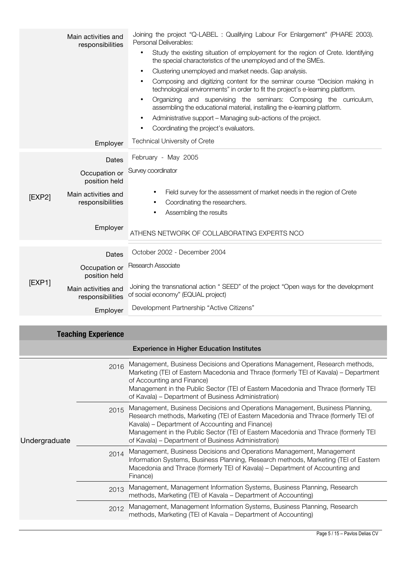|        | Main activities and<br>responsibilities                                                        | Joining the project "Q-LABEL: Qualifying Labour For Enlargement" (PHARE 2003).<br>Personal Deliverables:<br>Study the existing situation of employement for the region of Crete. Identifying<br>$\bullet$<br>the special characteristics of the unemployed and of the SMEs.<br>Clustering unemployed and market needs. Gap analysis.<br>Composing and digitizing content for the seminar course "Decision making in<br>$\bullet$<br>technological environments" in order to fit the project's e-learning platform.<br>Organizing and supervising the seminars: Composing the curriculum,<br>$\bullet$<br>assembling the educational material, installing the e-learning platform.<br>Administrative support – Managing sub-actions of the project.<br>Coordinating the project's evaluators.<br>$\bullet$ |
|--------|------------------------------------------------------------------------------------------------|-----------------------------------------------------------------------------------------------------------------------------------------------------------------------------------------------------------------------------------------------------------------------------------------------------------------------------------------------------------------------------------------------------------------------------------------------------------------------------------------------------------------------------------------------------------------------------------------------------------------------------------------------------------------------------------------------------------------------------------------------------------------------------------------------------------|
|        | Employer                                                                                       | <b>Technical University of Crete</b>                                                                                                                                                                                                                                                                                                                                                                                                                                                                                                                                                                                                                                                                                                                                                                      |
| [EXP2] | Dates<br>Occupation or<br>position held<br>Main activities and<br>responsibilities<br>Employer | February - May 2005<br>Survey coordinator<br>Field survey for the assessment of market needs in the region of Crete<br>$\bullet$<br>Coordinating the researchers.<br>Assembling the results<br>ATHENS NETWORK OF COLLABORATING EXPERTS NCO                                                                                                                                                                                                                                                                                                                                                                                                                                                                                                                                                                |
| [EXP1] | Dates<br>Occupation or<br>position held<br>Main activities and<br>responsibilities<br>Employer | October 2002 - December 2004<br>Research Associate<br>Joining the transnational action "SEED" of the project "Open ways for the development<br>of social economy" (EQUAL project)<br>Development Partnership "Active Citizens"                                                                                                                                                                                                                                                                                                                                                                                                                                                                                                                                                                            |

| <b>Teaching Experience</b> |      |                                                                                                                                                                                                                                                                                                                                                                   |  |
|----------------------------|------|-------------------------------------------------------------------------------------------------------------------------------------------------------------------------------------------------------------------------------------------------------------------------------------------------------------------------------------------------------------------|--|
|                            |      | <b>Experience in Higher Education Institutes</b>                                                                                                                                                                                                                                                                                                                  |  |
| Undergraduate              | 2016 | Management, Business Decisions and Operations Management, Research methods,<br>Marketing (TEI of Eastern Macedonia and Thrace (formerly TEI of Kavala) – Department<br>of Accounting and Finance)<br>Management in the Public Sector (TEI of Eastern Macedonia and Thrace (formerly TEI<br>of Kavala) – Department of Business Administration)                    |  |
|                            | 2015 | Management, Business Decisions and Operations Management, Business Planning,<br>Research methods, Marketing (TEI of Eastern Macedonia and Thrace (formerly TEI of<br>Kavala) – Department of Accounting and Finance)<br>Management in the Public Sector (TEI of Eastern Macedonia and Thrace (formerly TEI<br>of Kavala) – Department of Business Administration) |  |
|                            | 2014 | Management, Business Decisions and Operations Management, Management<br>Information Systems, Business Planning, Research methods, Marketing (TEI of Eastern<br>Macedonia and Thrace (formerly TEI of Kavala) – Department of Accounting and<br>Finance)                                                                                                           |  |
|                            | 2013 | Management, Management Information Systems, Business Planning, Research<br>methods, Marketing (TEI of Kavala – Department of Accounting)                                                                                                                                                                                                                          |  |
|                            | 2012 | Management, Management Information Systems, Business Planning, Research<br>methods, Marketing (TEI of Kavala – Department of Accounting)                                                                                                                                                                                                                          |  |
|                            |      |                                                                                                                                                                                                                                                                                                                                                                   |  |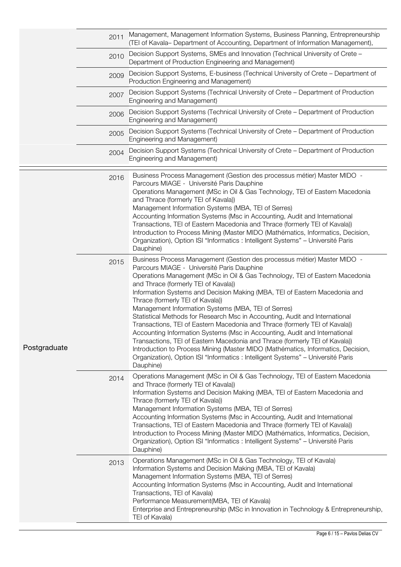|              | 2011 | Management, Management Information Systems, Business Planning, Entrepreneurship<br>(TEI of Kavala- Department of Accounting, Department of Information Management),                                                                                                                                                                                                                                                                                                                                                                                                                                                                                                                                                                                                                                                                                                                                                                     |
|--------------|------|-----------------------------------------------------------------------------------------------------------------------------------------------------------------------------------------------------------------------------------------------------------------------------------------------------------------------------------------------------------------------------------------------------------------------------------------------------------------------------------------------------------------------------------------------------------------------------------------------------------------------------------------------------------------------------------------------------------------------------------------------------------------------------------------------------------------------------------------------------------------------------------------------------------------------------------------|
|              | 2010 | Decision Support Systems, SMEs and Innovation (Technical University of Crete –<br>Department of Production Engineering and Management)                                                                                                                                                                                                                                                                                                                                                                                                                                                                                                                                                                                                                                                                                                                                                                                                  |
|              | 2009 | Decision Support Systems, E-business (Technical University of Crete – Department of<br>Production Engineering and Management)                                                                                                                                                                                                                                                                                                                                                                                                                                                                                                                                                                                                                                                                                                                                                                                                           |
|              | 2007 | Decision Support Systems (Technical University of Crete – Department of Production<br>Engineering and Management)                                                                                                                                                                                                                                                                                                                                                                                                                                                                                                                                                                                                                                                                                                                                                                                                                       |
|              | 2006 | Decision Support Systems (Technical University of Crete – Department of Production<br>Engineering and Management)                                                                                                                                                                                                                                                                                                                                                                                                                                                                                                                                                                                                                                                                                                                                                                                                                       |
|              | 2005 | Decision Support Systems (Technical University of Crete – Department of Production<br>Engineering and Management)                                                                                                                                                                                                                                                                                                                                                                                                                                                                                                                                                                                                                                                                                                                                                                                                                       |
|              | 2004 | Decision Support Systems (Technical University of Crete – Department of Production<br>Engineering and Management)                                                                                                                                                                                                                                                                                                                                                                                                                                                                                                                                                                                                                                                                                                                                                                                                                       |
|              | 2016 | Business Process Management (Gestion des processus métier) Master MIDO -<br>Parcours MIAGE - Université Paris Dauphine<br>Operations Management (MSc in Oil & Gas Technology, TEI of Eastern Macedonia<br>and Thrace (formerly TEI of Kavala))<br>Management Information Systems (MBA, TEI of Serres)<br>Accounting Information Systems (Msc in Accounting, Audit and International<br>Transactions, TEI of Eastern Macedonia and Thrace (formerly TEI of Kavala))<br>Introduction to Process Mining (Master MIDO (Mathématics, Informatics, Decision,<br>Organization), Option ISI "Informatics : Intelligent Systems" - Université Paris<br>Dauphine)                                                                                                                                                                                                                                                                                 |
| Postgraduate | 2015 | Business Process Management (Gestion des processus métier) Master MIDO -<br>Parcours MIAGE - Université Paris Dauphine<br>Operations Management (MSc in Oil & Gas Technology, TEI of Eastern Macedonia<br>and Thrace (formerly TEI of Kavala))<br>Information Systems and Decision Making (MBA, TEI of Eastern Macedonia and<br>Thrace (formerly TEI of Kavala))<br>Management Information Systems (MBA, TEI of Serres)<br>Statistical Methods for Research Msc in Accounting, Audit and International<br>Transactions, TEI of Eastern Macedonia and Thrace (formerly TEI of Kavala))<br>Accounting Information Systems (Msc in Accounting, Audit and International<br>Transactions, TEI of Eastern Macedonia and Thrace (formerly TEI of Kavala))<br>Introduction to Process Mining (Master MIDO (Mathématics, Informatics, Decision,<br>Organization), Option ISI "Informatics : Intelligent Systems" - Université Paris<br>Dauphine) |
|              | 2014 | Operations Management (MSc in Oil & Gas Technology, TEI of Eastern Macedonia<br>and Thrace (formerly TEI of Kavala))<br>Information Systems and Decision Making (MBA, TEI of Eastern Macedonia and<br>Thrace (formerly TEI of Kavala))<br>Management Information Systems (MBA, TEI of Serres)<br>Accounting Information Systems (Msc in Accounting, Audit and International<br>Transactions, TEI of Eastern Macedonia and Thrace (formerly TEI of Kavala))<br>Introduction to Process Mining (Master MIDO (Mathématics, Informatics, Decision,<br>Organization), Option ISI "Informatics : Intelligent Systems" - Université Paris<br>Dauphine)                                                                                                                                                                                                                                                                                         |
|              | 2013 | Operations Management (MSc in Oil & Gas Technology, TEI of Kavala)<br>Information Systems and Decision Making (MBA, TEI of Kavala)<br>Management Information Systems (MBA, TEI of Serres)<br>Accounting Information Systems (Msc in Accounting, Audit and International<br>Transactions, TEI of Kavala)<br>Performance Measurement (MBA, TEI of Kavala)<br>Enterprise and Entrepreneurship (MSc in Innovation in Technology & Entrepreneurship,<br>TEI of Kavala)                                                                                                                                                                                                                                                                                                                                                                                                                                                                       |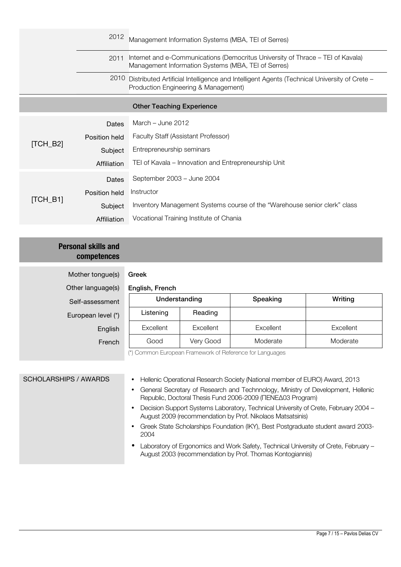|                       | 2012          | Management Information Systems (MBA, TEI of Serres)                                                                                      |
|-----------------------|---------------|------------------------------------------------------------------------------------------------------------------------------------------|
| 2011                  |               | Internet and e-Communications (Democritus University of Thrace – TEI of Kavala)<br>Management Information Systems (MBA, TEI of Serres)   |
|                       |               | 2010 Distributed Artificial Intelligence and Intelligent Agents (Technical University of Crete -<br>Production Engineering & Management) |
|                       |               | <b>Other Teaching Experience</b>                                                                                                         |
|                       | Dates         | March $-$ June 2012                                                                                                                      |
|                       | Position held | Faculty Staff (Assistant Professor)                                                                                                      |
| $[TCH_B2]$            | Subject       | Entrepreneurship seminars                                                                                                                |
|                       | Affiliation   | TEI of Kavala - Innovation and Entrepreneurship Unit                                                                                     |
|                       | Dates         | September 2003 - June 2004                                                                                                               |
| $\left[TCH_B1\right]$ | Position held | Instructor                                                                                                                               |
|                       | Subject       | Inventory Management Systems course of the "Warehouse senior clerk" class                                                                |
|                       | Affiliation   | Vocational Training Institute of Chania                                                                                                  |

### **Personal skills and competences**

| Mother tongue(s)   | Greek           |           |                                                          |           |
|--------------------|-----------------|-----------|----------------------------------------------------------|-----------|
| Other language(s)  | English, French |           |                                                          |           |
| Self-assessment    | Understanding   |           | Speaking                                                 | Writing   |
| European level (*) | Listening       | Reading   |                                                          |           |
| English            | Excellent       | Excellent | Excellent                                                | Excellent |
| French             | Good            | Very Good | Moderate                                                 | Moderate  |
|                    |                 |           | (*) Common European Framework of Reference for Languages |           |
|                    |                 |           |                                                          |           |

| SCHOLARSHIPS / AWARDS | Hellenic Operational Research Society (National member of EURO) Award, 2013                                                                       |
|-----------------------|---------------------------------------------------------------------------------------------------------------------------------------------------|
|                       | General Secretary of Research and Technnology, Ministry of Development, Hellenic<br>Republic, Doctoral Thesis Fund 2006-2009 (ΠΕΝΕΔ03 Program)    |
|                       | Decision Support Systems Laboratory, Technical University of Crete, February 2004 -<br>August 2009 (recommendation by Prof. Nikolaos Matsatsinis) |
|                       | Greek State Scholarships Foundation (IKY), Best Postgraduate student award 2003-<br>2004                                                          |
|                       | Laboratory of Ergonomics and Work Safety, Technical University of Crete, February -<br>August 2003 (recommendation by Prof. Thomas Kontogiannis)  |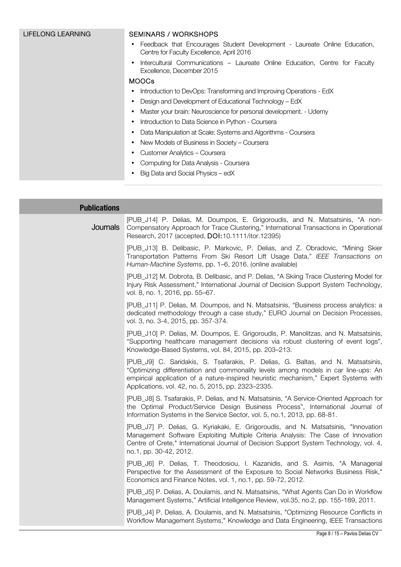| LIFELONG LEARNING | <b>SEMINARS / WORKSHOPS</b>                                                                                                 |  |  |
|-------------------|-----------------------------------------------------------------------------------------------------------------------------|--|--|
|                   | Feedback that Encourages Student Development - Laureate Online Education,<br>٠<br>Centre for Faculty Excellence, April 2016 |  |  |
|                   | Intercultural Communications - Laureate Online Education, Centre for Faculty<br>Excellence, December 2015                   |  |  |
|                   | <b>MOOCs</b>                                                                                                                |  |  |
|                   | Introduction to DevOps: Transforming and Improving Operations - EdX<br>$\bullet$                                            |  |  |
|                   | Design and Development of Educational Technology - EdX<br>$\bullet$                                                         |  |  |
|                   | Master your brain: Neuroscience for personal development. - Udemy<br>$\bullet$                                              |  |  |
|                   | Introduction to Data Science in Python - Coursera<br>$\bullet$                                                              |  |  |
|                   | Data Manipulation at Scale: Systems and Algorithms - Coursera<br>$\bullet$                                                  |  |  |
|                   | New Models of Business in Society – Coursera<br>$\bullet$                                                                   |  |  |
|                   | Customer Analytics - Coursera<br>٠                                                                                          |  |  |
|                   | Computing for Data Analysis - Coursera<br>٠                                                                                 |  |  |
|                   | Big Data and Social Physics – edX                                                                                           |  |  |

| <b>Publications</b> |                                                                                                                                                                                                                                                                                                                      |
|---------------------|----------------------------------------------------------------------------------------------------------------------------------------------------------------------------------------------------------------------------------------------------------------------------------------------------------------------|
| Journals            | [PUB_J14] P. Delias, M. Doumpos, E. Grigoroudis, and N. Matsatsinis, "A non-<br>Compensatory Approach for Trace Clustering," International Transactions in Operational<br>Research, 2017 (accepted, DOI: 10.1111/itor.12395)                                                                                         |
|                     | [PUB_J13] B. Delibasic, P. Markovic, P. Delias, and Z. Obradovic, "Mining Skier<br>Transportation Patterns From Ski Resort Lift Usage Data," IEEE Transactions on<br>Human-Machine Systems, pp. 1–6, 2016. (online available)                                                                                        |
|                     | [PUB_J12] M. Dobrota, B. Delibasic, and P. Delias, "A Skiing Trace Clustering Model for<br>Injury Risk Assessment," International Journal of Decision Support System Technology,<br>vol. 8, no. 1, 2016, pp. 55-67.                                                                                                  |
|                     | [PUB_J11] P. Delias, M. Doumpos, and N. Matsatsinis, "Business process analytics: a<br>dedicated methodology through a case study," EURO Journal on Decision Processes,<br>vol. 3, no. 3-4, 2015, pp. 357-374.                                                                                                       |
|                     | [PUB_J10] P. Delias, M. Doumpos, E. Grigoroudis, P. Manolitzas, and N. Matsatsinis,<br>"Supporting healthcare management decisions via robust clustering of event logs",<br>Knowledge-Based Systems, vol. 84, 2015, pp. 203-213.                                                                                     |
|                     | [PUB_J9] C. Saridakis, S. Tsafarakis, P. Delias, G. Baltas, and N. Matsatsinis,<br>"Optimizing differentiation and commonality levels among models in car line-ups: An<br>empirical application of a nature-inspired heuristic mechanism," Expert Systems with<br>Applications, vol. 42, no. 5, 2015, pp. 2323-2335. |
|                     | [PUB_J8] S. Tsafarakis, P. Delias, and N. Matsatsinis, "A Service-Oriented Approach for<br>the Optimal Product/Service Design Business Process", International Journal of<br>Information Systems in the Service Sector, vol. 5, no.1, 2013, pp. 68-81.                                                               |
|                     | [PUB_J7] P. Delias, G. Kyriakaki, E. Grigoroudis, and N. Matsatsinis, "Innovation<br>Management Software Exploiting Multiple Criteria Analysis: The Case of Innovation<br>Centre of Crete," International Journal of Decision Support System Technology, vol. 4,<br>no.1, pp. 30-42, 2012.                           |
|                     | [PUB_J6] P. Delias, T. Theodosiou, I. Kazanidis, and S. Asimis, "A Managerial<br>Perspective for the Assessment of the Exposure to Social Networks Business Risk,"<br>Economics and Finance Notes, vol. 1, no.1, pp. 59-72, 2012.                                                                                    |
|                     | [PUB_J5] P. Delias, A. Doulamis, and N. Matsatsinis, "What Agents Can Do in Workflow<br>Management Systems," Artificial Intelligence Review, vol.35, no.2, pp. 155-189, 2011.                                                                                                                                        |
|                     | [PUB_J4] P. Delias, A. Doulamis, and N. Matsatsinis, "Optimizing Resource Conflicts in<br>Workflow Management Systems," Knowledge and Data Engineering, IEEE Transactions                                                                                                                                            |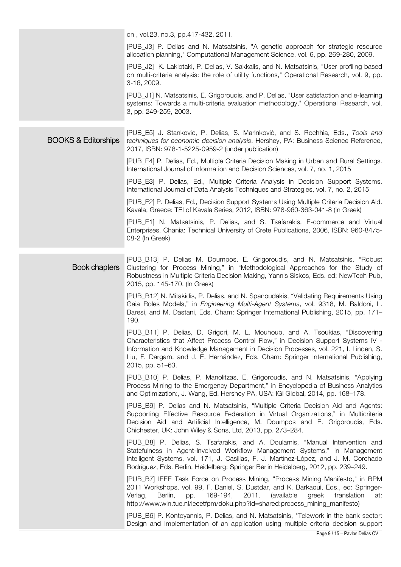|                                | on, vol.23, no.3, pp.417-432, 2011.                                                                                                                                                                                                                                                                                                                                   |
|--------------------------------|-----------------------------------------------------------------------------------------------------------------------------------------------------------------------------------------------------------------------------------------------------------------------------------------------------------------------------------------------------------------------|
|                                | [PUB_J3] P. Delias and N. Matsatsinis, "A genetic approach for strategic resource<br>allocation planning," Computational Management Science, vol. 6, pp. 269-280, 2009.                                                                                                                                                                                               |
|                                | [PUB_J2] K. Lakiotaki, P. Delias, V. Sakkalis, and N. Matsatsinis, "User profiling based<br>on multi-criteria analysis: the role of utility functions," Operational Research, vol. 9, pp.<br>3-16, 2009.                                                                                                                                                              |
|                                | [PUB_J1] N. Matsatsinis, E. Grigoroudis, and P. Delias, "User satisfaction and e-learning<br>systems: Towards a multi-criteria evaluation methodology," Operational Research, vol.<br>3, pp. 249-259, 2003.                                                                                                                                                           |
| <b>BOOKS &amp; Editorships</b> | [PUB_E5] J. Stankovic, P. Delias, S. Marinković, and S. Rochhia, Eds., Tools and<br>techniques for economic decision analysis. Hershey, PA: Business Science Reference,<br>2017, ISBN: 978-1-5225-0959-2 (under publication)                                                                                                                                          |
|                                | [PUB_E4] P. Delias, Ed., Multiple Criteria Decision Making in Urban and Rural Settings.<br>International Journal of Information and Decision Sciences, vol. 7, no. 1, 2015                                                                                                                                                                                            |
|                                | [PUB_E3] P. Delias, Ed., Multiple Criteria Analysis in Decision Support Systems.<br>International Journal of Data Analysis Techniques and Strategies, vol. 7, no. 2, 2015                                                                                                                                                                                             |
|                                | [PUB_E2] P. Delias, Ed., Decision Support Systems Using Multiple Criteria Decision Aid.<br>Kavala, Greece: TEI of Kavala Series, 2012, ISBN: 978-960-363-041-8 (In Greek)                                                                                                                                                                                             |
|                                | [PUB_E1] N. Matsatsinis, P. Delias, and S. Tsafarakis, E-commerce and Virtual<br>Enterprises. Chania: Technical University of Crete Publications, 2006, ISBN: 960-8475-<br>08-2 (In Greek)                                                                                                                                                                            |
| <b>Book chapters</b>           | [PUB_B13] P. Delias M. Doumpos, E. Grigoroudis, and N. Matsatsinis, "Robust<br>Clustering for Process Mining," in "Methodological Approaches for the Study of<br>Robustness in Multiple Criteria Decision Making, Yannis Siskos, Eds. ed: NewTech Pub,<br>2015, pp. 145-170. (In Greek)                                                                               |
|                                | [PUB_B12] N. Mitakidis, P. Delias, and N. Spanoudakis, "Validating Requirements Using<br>Gaia Roles Models," in <i>Engineering Multi-Agent Systems</i> , vol. 9318, M. Baldoni, L.<br>Baresi, and M. Dastani, Eds. Cham: Springer International Publishing, 2015, pp. 171–<br>190.                                                                                    |
|                                | [PUB_B11] P. Delias, D. Grigori, M. L. Mouhoub, and A. Tsoukias, "Discovering<br>Characteristics that Affect Process Control Flow," in Decision Support Systems IV -<br>Information and Knowledge Management in Decision Processes, vol. 221, I. Linden, S.<br>Liu, F. Dargam, and J. E. Hernández, Eds. Cham: Springer International Publishing,<br>2015, pp. 51-63. |
|                                | [PUB_B10] P. Delias, P. Manolitzas, E. Grigoroudis, and N. Matsatsinis, "Applying<br>Process Mining to the Emergency Department," in Encyclopedia of Business Analytics<br>and Optimization:, J. Wang, Ed. Hershey PA, USA: IGI Global, 2014, pp. 168–178.                                                                                                            |
|                                | [PUB_B9] P. Delias and N. Matsatsinis, "Multiple Criteria Decision Aid and Agents:<br>Supporting Effective Resource Federation in Virtual Organizations," in Multicriteria<br>Decision Aid and Artificial Intelligence, M. Doumpos and E. Grigoroudis, Eds.<br>Chichester, UK: John Wiley & Sons, Ltd, 2013, pp. 273-284.                                             |
|                                | [PUB_B8] P. Delias, S. Tsafarakis, and A. Doulamis, "Manual Intervention and<br>Statefulness in Agent-Involved Workflow Management Systems," in Management<br>Intelligent Systems, vol. 171, J. Casillas, F. J. Martínez-López, and J. M. Corchado<br>Rodríguez, Eds. Berlin, Heidelberg: Springer Berlin Heidelberg, 2012, pp. 239-249.                              |
|                                | [PUB_B7] IEEE Task Force on Process Mining, "Process Mining Manifesto," in BPM<br>2011 Workshops. vol. 99, F. Daniel, S. Dustdar, and K. Barkaoui, Eds., ed: Springer-<br>169-194,<br>2011.<br>(available<br>Verlag,<br>Berlin,<br>pp.<br>greek<br>translation<br>at:<br>http://www.win.tue.nl/ieeetfpm/doku.php?id=shared:process_mining_manifesto)                  |
|                                | [PUB_B6] P. Kontoyannis, P. Delias, and N. Matsatsinis, "Telework in the bank sector:<br>Design and Implementation of an application using multiple criteria decision support                                                                                                                                                                                         |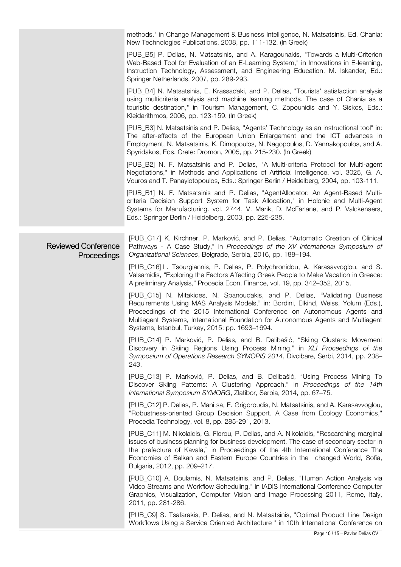|  |                                           | methods." in Change Management & Business Intelligence, N. Matsatsinis, Ed. Chania:<br>New Technologies Publications, 2008, pp. 111-132. (In Greek)                                                                                                                                                                                                                                    |
|--|-------------------------------------------|----------------------------------------------------------------------------------------------------------------------------------------------------------------------------------------------------------------------------------------------------------------------------------------------------------------------------------------------------------------------------------------|
|  |                                           | [PUB_B5] P. Delias, N. Matsatsinis, and A. Karagounakis, "Towards a Multi-Criterion<br>Web-Based Tool for Evaluation of an E-Learning System," in Innovations in E-learning,<br>Instruction Technology, Assessment, and Engineering Education, M. Iskander, Ed.:<br>Springer Netherlands, 2007, pp. 289-293.                                                                           |
|  |                                           | [PUB_B4] N. Matsatsinis, E. Krassadaki, and P. Delias, "Tourists' satisfaction analysis<br>using multicriteria analysis and machine learning methods. The case of Chania as a<br>touristic destination," in Tourism Management, C. Zopounidis and Y. Siskos, Eds.:<br>Kleidarithmos, 2006, pp. 123-159. (In Greek)                                                                     |
|  |                                           | [PUB_B3] N. Matsatsinis and P. Delias, "Agents' Technology as an instructional tool" in:<br>The after-effects of the European Union Enlargement and the ICT advances in<br>Employment, N. Matsatsinis, K. Dimopoulos, N. Nagopoulos, D. Yannakopoulos, and A.<br>Spyridakos, Eds. Crete: Dromon, 2005, pp. 215-230. (In Greek)                                                         |
|  |                                           | [PUB_B2] N. F. Matsatsinis and P. Delias, "A Multi-criteria Protocol for Multi-agent<br>Negotiations," in Methods and Applications of Artificial Intelligence. vol. 3025, G. A.<br>Vouros and T. Panayiotopoulos, Eds.: Springer Berlin / Heidelberg, 2004, pp. 103-111.                                                                                                               |
|  |                                           | [PUB_B1] N. F. Matsatsinis and P. Delias, "AgentAllocator: An Agent-Based Multi-<br>criteria Decision Support System for Task Allocation," in Holonic and Multi-Agent<br>Systems for Manufacturing. vol. 2744, V. Marik, D. McFarlane, and P. Valckenaers,<br>Eds.: Springer Berlin / Heidelberg, 2003, pp. 225-235.                                                                   |
|  | <b>Reviewed Conference</b><br>Proceedings | [PUB_C17] K. Kirchner, P. Marković, and P. Delias, "Automatic Creation of Clinical<br>Pathways - A Case Study," in Proceedings of the XV International Symposium of<br>Organizational Sciences, Belgrade, Serbia, 2016, pp. 188-194.                                                                                                                                                   |
|  |                                           | [PUB_C16] L. Tsourgiannis, P. Delias, P. Polychronidou, A. Karasavvoglou, and S.<br>Valsamidis, "Exploring the Factors Affecting Greek People to Make Vacation in Greece:<br>A preliminary Analysis," Procedia Econ. Finance, vol. 19, pp. 342-352, 2015.                                                                                                                              |
|  |                                           | [PUB_C15] N. Mitakides, N. Spanoudakis, and P. Delias, "Validating Business<br>Requirements Using MAS Analysis Models," in: Bordini, Elkind, Weiss, Yolum (Eds.),<br>Proceedings of the 2015 International Conference on Autonomous Agents and<br>Multiagent Systems, International Foundation for Autonomous Agents and Multiagent<br>Systems, Istanbul, Turkey, 2015: pp. 1693-1694. |
|  |                                           | [PUB_C14] P. Marković, P. Delias, and B. Delibašić, "Skiing Clusters: Movement<br>Discovery in Skiing Regions Using Process Mining," in XLI Proceedings of the<br>Symposium of Operations Research SYMOPIS 2014, Divcibare, Serbi, 2014, pp. 238-<br>243.                                                                                                                              |
|  |                                           | [PUB_C13] P. Marković, P. Delias, and B. Delibašić, "Using Process Mining To<br>Discover Skiing Patterns: A Clustering Approach," in Proceedings of the 14th<br>International Symposium SYMORG, Zlatibor, Serbia, 2014, pp. 67-75.                                                                                                                                                     |
|  |                                           | [PUB_C12] P. Delias, P. Manitsa, E. Grigoroudis, N. Matsatsinis, and A. Karasavvoglou,<br>"Robustness-oriented Group Decision Support. A Case from Ecology Economics,"<br>Procedia Technology, vol. 8, pp. 285-291, 2013.                                                                                                                                                              |
|  |                                           | [PUB_C11] M. Nikolaidis, G. Florou, P. Delias, and A. Nikolaidis, "Researching marginal<br>issues of business planning for business development. The case of secondary sector in<br>the prefecture of Kavala," in Proceedings of the 4th International Conference The<br>Economies of Balkan and Eastern Europe Countries in the changed World, Sofia,<br>Bulgaria, 2012, pp. 209-217. |
|  |                                           | [PUB_C10] A. Doulamis, N. Matsatsinis, and P. Delias, "Human Action Analysis via<br>Video Streams and Workflow Scheduling," in IADIS International Conference Computer<br>Graphics, Visualization, Computer Vision and Image Processing 2011, Rome, Italy,<br>2011, pp. 281-286.                                                                                                       |
|  |                                           | [PUB_C9] S. Tsafarakis, P. Delias, and N. Matsatsinis, "Optimal Product Line Design<br>Workflows Using a Service Oriented Architecture " in 10th International Conference on                                                                                                                                                                                                           |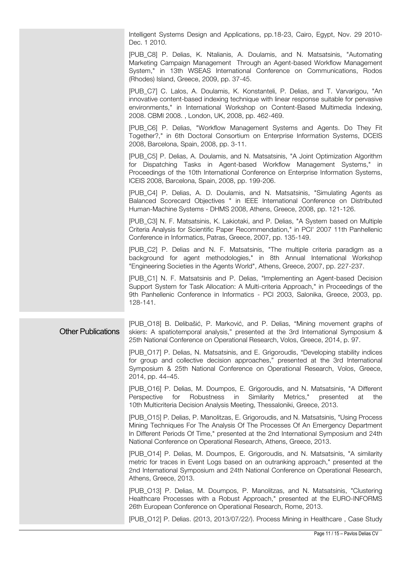Intelligent Systems Design and Applications, pp.18-23, Cairo, Egypt, Nov. 29 2010- Dec. 1 2010.

[PUB\_C8] P. Delias, K. Ntalianis, A. Doulamis, and N. Matsatsinis, "Automating Marketing Campaign Management Through an Agent-based Workflow Management System," in 13th WSEAS International Conference on Communications, Rodos (Rhodes) Island, Greece, 2009, pp. 37-45.

[PUB\_C7] C. Lalos, A. Doulamis, K. Konstanteli, P. Delias, and T. Varvarigou, "An innovative content-based indexing technique with linear response suitable for pervasive environments," in International Workshop on Content-Based Multimedia Indexing, 2008. CBMI 2008. , London, UK, 2008, pp. 462-469.

[PUB\_C6] P. Delias, "Workflow Management Systems and Agents. Do They Fit Together?," in 6th Doctoral Consortium on Enterprise Information Systems, DCEIS 2008, Barcelona, Spain, 2008, pp. 3-11.

[PUB\_C5] P. Delias, A. Doulamis, and N. Matsatsinis, "A Joint Optimization Algorithm for Dispatching Tasks in Agent-based Workflow Management Systems," in Proceedings of the 10th International Conference on Enterprise Information Systems, ICEIS 2008, Barcelona, Spain, 2008, pp. 199-206.

[PUB\_C4] P. Delias, A. D. Doulamis, and N. Matsatsinis, "Simulating Agents as Balanced Scorecard Objectives " in IEEE International Conference on Distributed Human-Machine Systems - DHMS 2008, Athens, Greece, 2008, pp. 121-126.

[PUB\_C3] N. F. Matsatsinis, K. Lakiotaki, and P. Delias, "A System based on Multiple Criteria Analysis for Scientific Paper Recommendation," in PCI' 2007 11th Panhellenic Conference in Informatics, Patras, Greece, 2007, pp. 135-149.

[PUB\_C2] P. Delias and N. F. Matsatsinis, "The multiple criteria paradigm as a background for agent methodologies," in 8th Annual International Workshop "Engineering Societies in the Agents World", Athens, Greece, 2007, pp. 227-237.

[PUB\_C1] N. F. Matsatsinis and P. Delias, "Implementing an Agent-based Decision Support System for Task Allocation: A Multi-criteria Approach," in Proceedings of the 9th Panhellenic Conference in Informatics - PCI 2003, Salonika, Greece, 2003, pp. 128-141.

Other Publications [PUB\_O18] B. Delibašić, P. Marković, and P. Delias, "Mining movement graphs of skiers: A spatiotemporal analysis," presented at the 3rd International Symposium & 25th National Conference on Operational Research, Volos, Greece, 2014, p. 97.

> [PUB\_O17] P. Delias, N. Matsatsinis, and E. Grigoroudis, "Developing stability indices for group and collective decision approaches," presented at the 3rd International Symposium & 25th National Conference on Operational Research, Volos, Greece, 2014, pp. 44–45.

> [PUB\_O16] P. Delias, M. Doumpos, E. Grigoroudis, and N. Matsatsinis, "A Different Perspective for Robustness in Similarity Metrics," presented at the 10th Multicriteria Decision Analysis Meeting, Thessaloniki, Greece, 2013.

> [PUB\_O15] P. Delias, P. Manolitzas, E. Grigoroudis, and N. Matsatsinis, "Using Process Mining Techniques For The Analysis Of The Processes Of An Emergency Department In Different Periods Of Time," presented at the 2nd International Symposium and 24th National Conference on Operational Research, Athens, Greece, 2013.

> [PUB\_O14] P. Delias, M. Doumpos, E. Grigoroudis, and N. Matsatsinis, "A similarity metric for traces in Event Logs based on an outranking approach," presented at the 2nd International Symposium and 24th National Conference on Operational Research, Athens, Greece, 2013.

> [PUB\_O13] P. Delias, M. Doumpos, P. Manolitzas, and N. Matsatsinis, "Clustering Healthcare Processes with a Robust Approach," presented at the EURO-INFORMS 26th European Conference on Operational Research, Rome, 2013.

> [PUB\_O12] P. Delias. (2013, 2013/07/22/). Process Mining in Healthcare, Case Study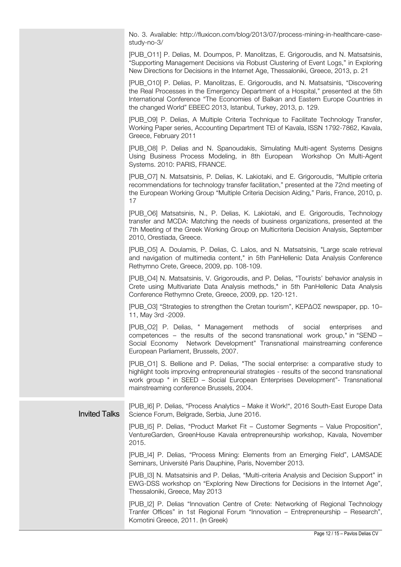No. 3. Available: http://fluxicon.com/blog/2013/07/process-mining-in-healthcare-casestudy-no-3/

[PUB\_O11] P. Delias, M. Doumpos, P. Manolitzas, E. Grigoroudis, and N. Matsatsinis, "Supporting Management Decisions via Robust Clustering of Event Logs," in Exploring New Directions for Decisions in the Internet Age, Thessaloniki, Greece, 2013, p. 21

[PUB\_O10] P. Delias, P. Manolitzas, E. Grigoroudis, and N. Matsatsinis, "Discovering the Real Processes in the Emergency Department of a Hospital," presented at the 5th International Conference "The Economies of Balkan and Eastern Europe Countries in the changed World" EBEEC 2013, Istanbul, Turkey, 2013, p. 129.

[PUB\_O9] P. Delias, A Multiple Criteria Technique to Facilitate Technology Transfer, Working Paper series, Accounting Department ΤΕΙ of Kavala, ISSN 1792-7862, Kavala, Greece, February 2011

[PUB\_O8] P. Delias and N. Spanoudakis, Simulating Multi-agent Systems Designs Using Business Process Modeling, in 8th European Workshop On Multi-Agent Systems. 2010: PARIS, FRANCE.

[PUB\_O7] N. Matsatsinis, P. Delias, K. Lakiotaki, and E. Grigoroudis, "Multiple criteria recommendations for technology transfer facilitation," presented at the 72nd meeting of the European Working Group "Multiple Criteria Decision Aiding," Paris, France, 2010, p. 17

[PUB\_O6] Matsatsinis, N., P. Delias, K. Lakiotaki, and E. Grigoroudis, Technology transfer and MCDA: Matching the needs of business organizations, presented at the 7th Meeting of the Greek Working Group on Multicriteria Decision Analysis, September 2010, Orestiada, Greece.

[PUB\_O5] A. Doulamis, P. Delias, C. Lalos, and N. Matsatsinis, "Large scale retrieval and navigation of multimedia content," in 5th PanHellenic Data Analysis Conference Rethymno Crete, Greece, 2009, pp. 108-109.

[PUB\_O4] N. Matsatsinis, V. Grigoroudis, and P. Delias, "Tourists' behavior analysis in Crete using Multivariate Data Analysis methods," in 5th PanHellenic Data Analysis Conference Rethymno Crete, Greece, 2009, pp. 120-121.

[PUB\_O3] "Strategies to strengthen the Cretan tourism", ΚΕΡΔΟΣ newspaper, pp. 10– 11, May 3rd -2009.

[PUB\_O2] P. Delias, " Management methods of social enterprises and competences – the results of the second transnational work group," in "SEND – Social Economy Network Development" Transnational mainstreaming conference European Parliament, Brussels, 2007.

[PUB\_O1] S. Bellione and P. Delias, "The social enterprise: a comparative study to highlight tools improving entrepreneurial strategies - results of the second transnational work group " in SEED – Social European Enterprises Development"- Transnational mainstreaming conference Brussels, 2004.

Invited Talks [PUB\_I6] P. Delias, "Process Analytics – Make it Work!", 2016 South-East Europe Data Science Forum, Belgrade, Serbia, June 2016.

> [PUB\_I5] P. Delias, "Product Market Fit – Customer Segments – Value Proposition", VentureGarden, GreenHouse Kavala entrepreneurship workshop, Kavala, November 2015.

> [PUB\_I4] P. Delias, "Process Mining: Elements from an Emerging Field", LAMSADE Seminars, Université Paris Dauphine, Paris, November 2013.

> [PUB\_I3] N. Matsatsinis and P. Delias, "Multi-criteria Analysis and Decision Support" in EWG-DSS workshop on "Exploring New Directions for Decisions in the Internet Age", Thessaloniki, Greece, May 2013

> [PUB\_I2] P. Delias "Innovation Centre of Crete: Networking of Regional Technology Tranfer Offices" in 1st Regional Forum "Innovation – Entrepreneurship – Research", Komotini Greece, 2011. (In Greek)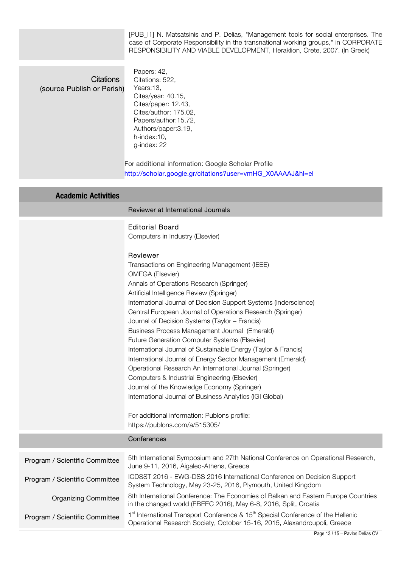[PUB\_I1] N. Matsatsinis and P. Delias, "Management tools for social enterprises. The case of Corporate Responsibility in the transnational working groups," in CORPORATE RESPONSIBILITY AND VIABLE DEVELOPMENT, Heraklion, Crete, 2007. (In Greek)

|                                                | TILOF ON OIDILITT AND VIADLE DEVELOF IVILINT, I IGIANIUIT, OIGIG, 2007. (III GIGGN)                                                                                                                                                                                                                                                                                                                                                                                                                                                                                                                                                                                                                                                                                                                                                                                                                           |
|------------------------------------------------|---------------------------------------------------------------------------------------------------------------------------------------------------------------------------------------------------------------------------------------------------------------------------------------------------------------------------------------------------------------------------------------------------------------------------------------------------------------------------------------------------------------------------------------------------------------------------------------------------------------------------------------------------------------------------------------------------------------------------------------------------------------------------------------------------------------------------------------------------------------------------------------------------------------|
| <b>Citations</b><br>(source Publish or Perish) | Papers: 42,<br>Citations: 522,<br>Years:13,<br>Cites/year: 40.15,<br>Cites/paper: 12.43,<br>Cites/author: 175.02,<br>Papers/author:15.72,<br>Authors/paper: 3.19,<br>h-index:10,<br>g-index: 22<br>For additional information: Google Scholar Profile<br>http://scholar.google.gr/citations?user=vmHG_X0AAAAJ&hl=el                                                                                                                                                                                                                                                                                                                                                                                                                                                                                                                                                                                           |
| <b>Academic Activities</b>                     |                                                                                                                                                                                                                                                                                                                                                                                                                                                                                                                                                                                                                                                                                                                                                                                                                                                                                                               |
|                                                | Reviewer at International Journals                                                                                                                                                                                                                                                                                                                                                                                                                                                                                                                                                                                                                                                                                                                                                                                                                                                                            |
|                                                | <b>Editorial Board</b><br>Computers in Industry (Elsevier)                                                                                                                                                                                                                                                                                                                                                                                                                                                                                                                                                                                                                                                                                                                                                                                                                                                    |
|                                                | Reviewer<br>Transactions on Engineering Management (IEEE)<br><b>OMEGA</b> (Elsevier)<br>Annals of Operations Research (Springer)<br>Artificial Intelligence Review (Springer)<br>International Journal of Decision Support Systems (Inderscience)<br>Central European Journal of Operations Research (Springer)<br>Journal of Decision Systems (Taylor - Francis)<br>Business Process Management Journal (Emerald)<br>Future Generation Computer Systems (Elsevier)<br>International Journal of Sustainable Energy (Taylor & Francis)<br>International Journal of Energy Sector Management (Emerald)<br>Operational Research An International Journal (Springer)<br>Computers & Industrial Engineering (Elsevier)<br>Journal of the Knowledge Economy (Springer)<br>International Journal of Business Analytics (IGI Global)<br>For additional information: Publons profile:<br>https://publons.com/a/515305/ |
|                                                | Conferences                                                                                                                                                                                                                                                                                                                                                                                                                                                                                                                                                                                                                                                                                                                                                                                                                                                                                                   |
| Program / Scientific Committee                 | 5th International Symposium and 27th National Conference on Operational Research,<br>June 9-11, 2016, Aigaleo-Athens, Greece                                                                                                                                                                                                                                                                                                                                                                                                                                                                                                                                                                                                                                                                                                                                                                                  |
| Program / Scientific Committee                 | ICDSST 2016 - EWG-DSS 2016 International Conference on Decision Support<br>System Technology, May 23-25, 2016, Plymouth, United Kingdom                                                                                                                                                                                                                                                                                                                                                                                                                                                                                                                                                                                                                                                                                                                                                                       |
| <b>Organizing Committee</b>                    | 8th International Conference: The Economies of Balkan and Eastern Europe Countries<br>in the changed world (EBEEC 2016), May 6-8, 2016, Split, Croatia                                                                                                                                                                                                                                                                                                                                                                                                                                                                                                                                                                                                                                                                                                                                                        |

Program / Scientific Committee 1<sup>st</sup> International Transport Conference & 15<sup>th</sup> Special Conference of the Hellenic Operational Research Society, October 15-16, 2015, Alexandroupoli, Greece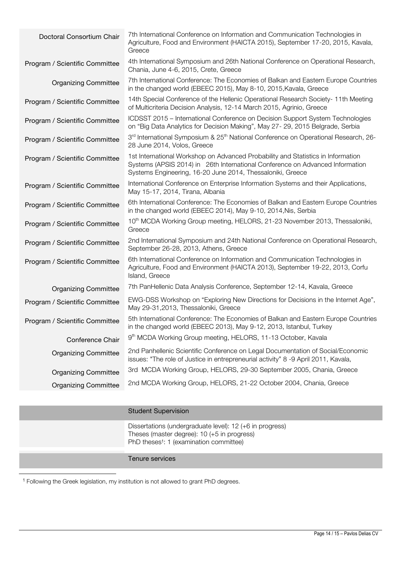| Doctoral Consortium Chair      | 7th International Conference on Information and Communication Technologies in<br>Agriculture, Food and Environment (HAICTA 2015), September 17-20, 2015, Kavala,<br>Greece                                                      |
|--------------------------------|---------------------------------------------------------------------------------------------------------------------------------------------------------------------------------------------------------------------------------|
| Program / Scientific Committee | 4th International Symposium and 26th National Conference on Operational Research,<br>Chania, June 4-6, 2015, Crete, Greece                                                                                                      |
| <b>Organizing Committee</b>    | 7th International Conference: The Economies of Balkan and Eastern Europe Countries<br>in the changed world (EBEEC 2015), May 8-10, 2015, Kavala, Greece                                                                         |
| Program / Scientific Committee | 14th Special Conference of the Hellenic Operational Research Society-11th Meeting<br>of Multicriteria Decision Analysis, 12-14 March 2015, Agrinio, Greece                                                                      |
| Program / Scientific Committee | ICDSST 2015 - International Conference on Decision Support System Technologies<br>on "Big Data Analytics for Decision Making", May 27-29, 2015 Belgrade, Serbia                                                                 |
| Program / Scientific Committee | 3rd International Symposium & 25 <sup>th</sup> National Conference on Operational Research, 26-<br>28 June 2014, Volos, Greece                                                                                                  |
| Program / Scientific Committee | 1st International Workshop on Advanced Probability and Statistics in Information<br>Systems (APSIS 2014) in 26th International Conference on Advanced Information<br>Systems Engineering, 16-20 June 2014, Thessaloniki, Greece |
| Program / Scientific Committee | International Conference on Enterprise Information Systems and their Applications,<br>May 15-17, 2014, Tirana, Albania                                                                                                          |
| Program / Scientific Committee | 6th International Conference: The Economies of Balkan and Eastern Europe Countries<br>in the changed world (EBEEC 2014), May 9-10, 2014, Nis, Serbia                                                                            |
| Program / Scientific Committee | 10 <sup>th</sup> MCDA Working Group meeting, HELORS, 21-23 November 2013, Thessaloniki,<br>Greece                                                                                                                               |
| Program / Scientific Committee | 2nd International Symposium and 24th National Conference on Operational Research,<br>September 26-28, 2013, Athens, Greece                                                                                                      |
| Program / Scientific Committee | 6th International Conference on Information and Communication Technologies in<br>Agriculture, Food and Environment (HAICTA 2013), September 19-22, 2013, Corfu<br>Island, Greece                                                |
| <b>Organizing Committee</b>    | 7th PanHellenic Data Analysis Conference, September 12-14, Kavala, Greece                                                                                                                                                       |
| Program / Scientific Committee | EWG-DSS Workshop on "Exploring New Directions for Decisions in the Internet Age",<br>May 29-31,2013, Thessaloniki, Greece                                                                                                       |
| Program / Scientific Committee | 5th International Conference: The Economies of Balkan and Eastern Europe Countries<br>in the changed world (EBEEC 2013), May 9-12, 2013, Istanbul, Turkey                                                                       |
| Conference Chair               | 9 <sup>th</sup> MCDA Working Group meeting, HELORS, 11-13 October, Kavala                                                                                                                                                       |
| <b>Organizing Committee</b>    | 2nd Panhellenic Scientific Conference on Legal Documentation of Social/Economic<br>issues: "The role of Justice in entrepreneurial activity" 8 -9 April 2011, Kavala,                                                           |
| <b>Organizing Committee</b>    | 3rd MCDA Working Group, HELORS, 29-30 September 2005, Chania, Greece                                                                                                                                                            |
| <b>Organizing Committee</b>    | 2nd MCDA Working Group, HELORS, 21-22 October 2004, Chania, Greece                                                                                                                                                              |
|                                |                                                                                                                                                                                                                                 |

#### Student Supervision

Dissertations (undergraduate level): 12 (+6 in progress) Theses (master degree): 10 (+5 in progress) PhD theses<sup>1</sup>: 1 (examination committee)

#### Tenure services

1 Following the Greek legislation, my institution is not allowed to grant PhD degrees.